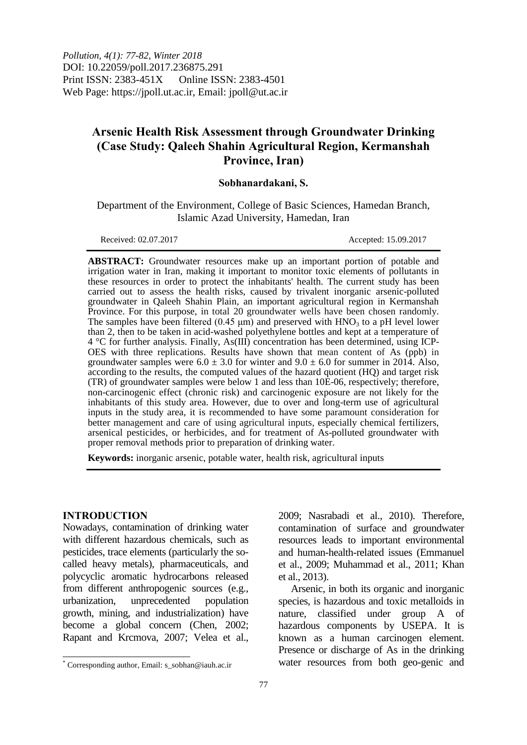*Pollution, 4(1): 77-82, Winter 2018* DOI: 10.22059/poll.2017.236875.291 Print ISSN: 2383-451X Online ISSN: 2383-4501 Web Page: https://jpoll.ut.ac.ir, Email: jpoll@ut.ac.ir

# **Arsenic Health Risk Assessment through Groundwater Drinking (Case Study: Qaleeh Shahin Agricultural Region, Kermanshah Province, Iran)**

### **Sobhanardakani, S.**

Department of the Environment, College of Basic Sciences, Hamedan Branch, Islamic Azad University, Hamedan, Iran

Received: 02.07.2017 Accepted: 15.09.2017

**ABSTRACT:** Groundwater resources make up an important portion of potable and irrigation water in Iran, making it important to monitor toxic elements of pollutants in these resources in order to protect the inhabitants' health. The current study has been carried out to assess the health risks, caused by trivalent inorganic arsenic-polluted groundwater in Qaleeh Shahin Plain, an important agricultural region in Kermanshah Province. For this purpose, in total 20 groundwater wells have been chosen randomly. The samples have been filtered  $(0.45 \mu m)$  and preserved with  $HNO<sub>3</sub>$  to a pH level lower than 2, then to be taken in acid-washed polyethylene bottles and kept at a temperature of 4 °C for further analysis. Finally, As(III) concentration has been determined, using ICP-OES with three replications. Results have shown that mean content of As (ppb) in groundwater samples were  $6.0 \pm 3.0$  for winter and  $9.0 \pm 6.0$  for summer in 2014. Also, according to the results, the computed values of the hazard quotient (HQ) and target risk  $(TR)$  of groundwater samples were below 1 and less than  $10E-06$ , respectively; therefore, non-carcinogenic effect (chronic risk) and carcinogenic exposure are not likely for the inhabitants of this study area. However, due to over and long-term use of agricultural inputs in the study area, it is recommended to have some paramount consideration for better management and care of using agricultural inputs, especially chemical fertilizers, arsenical pesticides, or herbicides, and for treatment of As-polluted groundwater with proper removal methods prior to preparation of drinking water.

**Keywords:** inorganic arsenic, potable water, health risk, agricultural inputs

#### **INTRODUCTION**

 $\overline{\phantom{a}}$ 

Nowadays, contamination of drinking water with different hazardous chemicals, such as pesticides, trace elements (particularly the socalled heavy metals), pharmaceuticals, and polycyclic aromatic hydrocarbons released from different anthropogenic sources (e.g., urbanization, unprecedented population growth, mining, and industrialization) have become a global concern (Chen, 2002; Rapant and Krcmova, 2007; Velea et al.,

2009; Nasrabadi et al., 2010). Therefore, contamination of surface and groundwater resources leads to important environmental and human-health-related issues (Emmanuel et al., 2009; Muhammad et al., 2011; Khan et al., 2013).

Arsenic, in both its organic and inorganic species, is hazardous and toxic metalloids in nature, classified under group A of hazardous components by USEPA. It is known as a human carcinogen element. Presence or discharge of As in the drinking water resources from both geo-genic and

<sup>\*</sup> Corresponding author, Email: s\_sobhan@iauh.ac.ir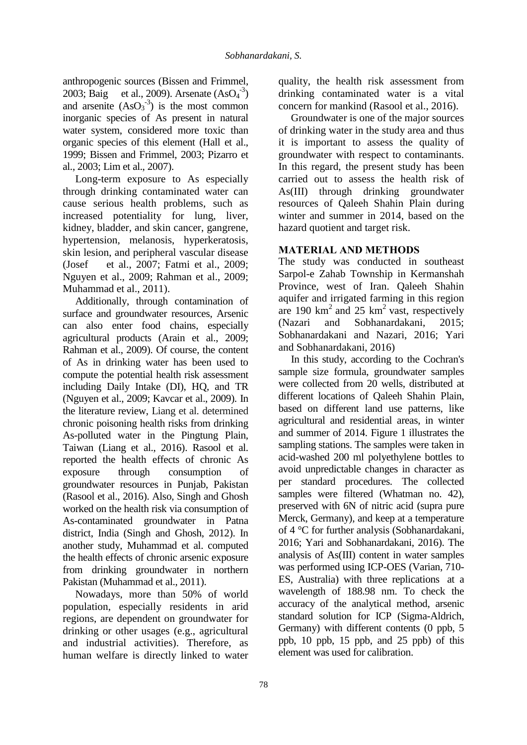anthropogenic sources (Bissen and Frimmel, 2003; Baig et al., 2009). Arsenate  $(AsO<sub>4</sub><sup>-3</sup>)$ and arsenite  $(AsO<sub>3</sub><sup>-3</sup>)$  is the most common inorganic species of As present in natural water system, considered more toxic than organic species of this element (Hall et al., 1999; Bissen and Frimmel, 2003; Pizarro et al., 2003; Lim et al., 2007).

Long-term exposure to As especially through drinking contaminated water can cause serious health problems, such as increased potentiality for lung, liver, kidney, bladder, and skin cancer, gangrene, hypertension, melanosis, hyperkeratosis, skin lesion, and peripheral vascular disease (Josef et al., 2007; Fatmi et al., 2009; Nguyen et al., 2009; Rahman et al., 2009; Muhammad et al., 2011).

Additionally, through contamination of surface and groundwater resources, Arsenic can also enter food chains, especially agricultural products (Arain et al., 2009; Rahman et al., 2009). Of course, the content of As in drinking water has been used to compute the potential health risk assessment including Daily Intake (DI), HQ, and TR (Nguyen et al., 2009; Kavcar et al., 2009). In the literature review, Liang et al. determined chronic poisoning health risks from drinking As-polluted water in the Pingtung Plain, Taiwan (Liang et al., 2016). Rasool et al. reported the health effects of chronic As exposure through consumption of groundwater resources in Punjab, Pakistan (Rasool et al., 2016). Also, Singh and Ghosh worked on the health risk via consumption of As-contaminated groundwater in Patna district, India (Singh and Ghosh, 2012). In another study, Muhammad et al. computed the health effects of chronic arsenic exposure from drinking groundwater in northern Pakistan (Muhammad et al., 2011).

Nowadays, more than 50% of world population, especially residents in arid regions, are dependent on groundwater for drinking or other usages (e.g., agricultural and industrial activities). Therefore, as human welfare is directly linked to water

quality, the health risk assessment from drinking contaminated water is a vital concern for mankind (Rasool et al., 2016).

Groundwater is one of the major sources of drinking water in the study area and thus it is important to assess the quality of groundwater with respect to contaminants. In this regard, the present study has been carried out to assess the health risk of As(III) through drinking groundwater resources of Qaleeh Shahin Plain during winter and summer in 2014, based on the hazard quotient and target risk.

# **MATERIAL AND METHODS**

The study was conducted in southeast Sarpol-e Zahab Township in Kermanshah Province, west of Iran. Qaleeh Shahin aquifer and irrigated farming in this region are 190  $km^2$  and 25  $km^2$  vast, respectively (Nazari and Sobhanardakani, 2015; Sobhanardakani and Nazari, 2016; Yari and Sobhanardakani, 2016)

In this study, according to the Cochran's sample size formula, groundwater samples were collected from 20 wells, distributed at different locations of Qaleeh Shahin Plain, based on different land use patterns, like agricultural and residential areas, in winter and summer of 2014. Figure 1 illustrates the sampling stations. The samples were taken in acid-washed 200 ml polyethylene bottles to avoid unpredictable changes in character as per standard procedures. The collected samples were filtered (Whatman no. 42), preserved with 6N of nitric acid (supra pure Merck, Germany), and keep at a temperature of 4 °C for further analysis (Sobhanardakani, 2016; Yari and Sobhanardakani, 2016). The analysis of As(III) content in water samples was performed using ICP-OES (Varian, 710- ES, Australia) with three replications at a wavelength of 188.98 nm. To check the accuracy of the analytical method, arsenic standard solution for ICP (Sigma-Aldrich, Germany) with different contents (0 ppb, 5 ppb, 10 ppb, 15 ppb, and 25 ppb) of this element was used for calibration.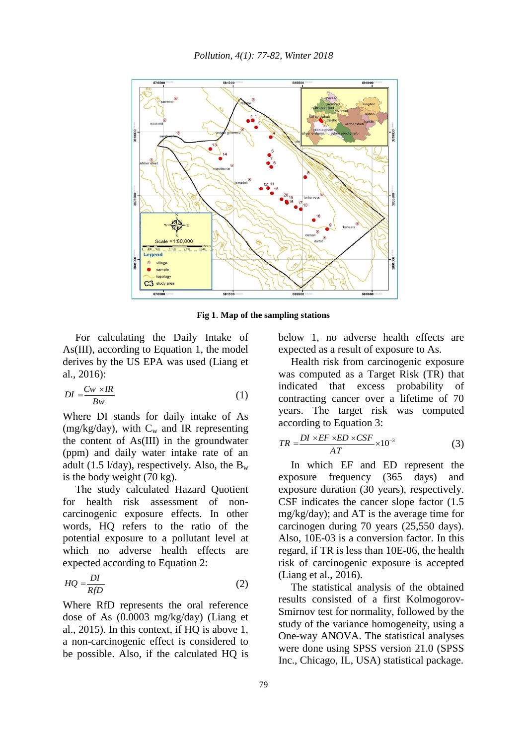

**Fig 1**. **Map of the sampling stations**

For calculating the Daily Intake of As(III), according to Equation 1, the model derives by the US EPA was used (Liang et al., 2016):

$$
DI = \frac{Cw \times IR}{Bw} \tag{1}
$$

Where DI stands for daily intake of As (mg/kg/day), with  $C_w$  and IR representing the content of As(III) in the groundwater (ppm) and daily water intake rate of an adult (1.5  $1$ /day), respectively. Also, the B<sub>w</sub> is the body weight (70 kg).

The study calculated Hazard Quotient for health risk assessment of noncarcinogenic exposure effects. In other words, HQ refers to the ratio of the potential exposure to a pollutant level at which no adverse health effects are expected according to Equation 2:

$$
HQ = \frac{DI}{RfD} \tag{2}
$$

Where RfD represents the oral reference dose of As (0.0003 mg/kg/day) (Liang et al., 2015). In this context, if HQ is above 1, a non-carcinogenic effect is considered to be possible. Also, if the calculated HQ is below 1, no adverse health effects are expected as a result of exposure to As.

Health risk from carcinogenic exposure was computed as a Target Risk (TR) that indicated that excess probability of contracting cancer over a lifetime of 70 years. The target risk was computed according to Equation 3:

$$
TR = \frac{DI \times EF \times ED \times CSF}{AT} \times 10^{-3}
$$
 (3)

In which EF and ED represent the exposure frequency (365 days) and exposure duration (30 years), respectively. CSF indicates the cancer slope factor (1.5 mg/kg/day); and AT is the average time for carcinogen during 70 years (25,550 days). Also, 10E-03 is a conversion factor. In this regard, if TR is less than 10E-06, the health risk of carcinogenic exposure is accepted (Liang et al., 2016).

The statistical analysis of the obtained results consisted of a first Kolmogorov-Smirnov test for normality, followed by the study of the variance homogeneity, using a One-way ANOVA. The statistical analyses were done using SPSS version 21.0 (SPSS Inc., Chicago, IL, USA) statistical package.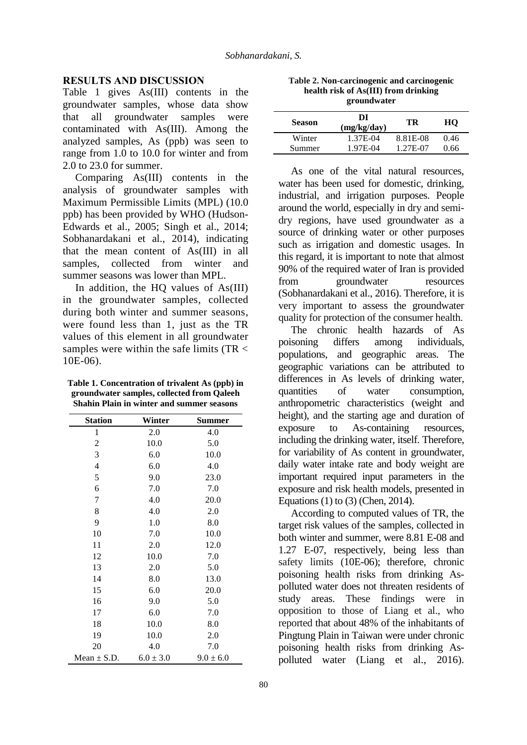#### **RESULTS AND DISCUSSION**

Table 1 gives As(III) contents in the groundwater samples, whose data show that all groundwater samples were contaminated with As(III). Among the analyzed samples, As (ppb) was seen to range from 1.0 to 10.0 for winter and from 2.0 to 23.0 for summer.

Comparing As(III) contents in the analysis of groundwater samples with Maximum Permissible Limits (MPL) (10.0 ppb) has been provided by WHO (Hudson-Edwards et al., 2005; Singh et al., 2014; Sobhanardakani et al., 2014), indicating that the mean content of As(III) in all samples, collected from winter and summer seasons was lower than MPL.

In addition, the HO values of As(III) in the groundwater samples, collected during both winter and summer seasons, were found less than 1, just as the TR values of this element in all groundwater samples were within the safe limits (TR < 10E-06).

**Table 1. Concentration of trivalent As (ppb) in groundwater samples, collected from Qaleeh Shahin Plain in winter and summer seasons**

| <b>Station</b>  | Winter        | Summer        |  |
|-----------------|---------------|---------------|--|
| $\mathbf{1}$    | 2.0           | 4.0           |  |
| 2               | 10.0          | 5.0           |  |
| 3               | 6.0           | 10.0          |  |
| 4               | 6.0           | 4.0           |  |
| 5               | 9.0           | 23.0          |  |
| 6               | 7.0           | 7.0           |  |
| 7               | 4.0           | 20.0          |  |
| 8               | 4.0           | 2.0           |  |
| 9               | 1.0           | 8.0           |  |
| 10              | 7.0           | 10.0          |  |
| 11              | 2.0           | 12.0          |  |
| 12              | 10.0          | 7.0           |  |
| 13              | 2.0           | 5.0           |  |
| 14              | 8.0           | 13.0          |  |
| 15              | 6.0           | 20.0          |  |
| 16              | 9.0           | 5.0           |  |
| 17              | 6.0           | 7.0           |  |
| 18              | 10.0          | 8.0           |  |
| 19              | 10.0          | 2.0           |  |
| 20              | 4.0           | 7.0           |  |
| Mean $\pm$ S.D. | $6.0 \pm 3.0$ | $9.0 \pm 6.0$ |  |

| Table 2. Non-carcinogenic and carcinogenic |
|--------------------------------------------|
| health risk of As(III) from drinking       |
| groundwater                                |

| <b>Season</b> | DI<br>(mg/kg/day) | TR       | HО   |
|---------------|-------------------|----------|------|
| Winter        | 1.37E-04          | 8.81E-08 | 0.46 |
| Summer        | 1.97E-04          | 1.27E-07 | 0.66 |

As one of the vital natural resources, water has been used for domestic, drinking, industrial, and irrigation purposes. People around the world, especially in dry and semidry regions, have used groundwater as a source of drinking water or other purposes such as irrigation and domestic usages. In this regard, it is important to note that almost 90% of the required water of Iran is provided from groundwater resources (Sobhanardakani et al., 2016). Therefore, it is very important to assess the groundwater quality for protection of the consumer health.

The chronic health hazards of As poisoning differs among individuals, populations, and geographic areas. The geographic variations can be attributed to differences in As levels of drinking water, quantities of water consumption, anthropometric characteristics (weight and height), and the starting age and duration of exposure to As-containing resources, including the drinking water, itself. Therefore, for variability of As content in groundwater, daily water intake rate and body weight are important required input parameters in the exposure and risk health models, presented in Equations (1) to (3) (Chen, 2014).

According to computed values of TR, the target risk values of the samples, collected in both winter and summer, were 8.81 E-08 and 1.27 E-07, respectively, being less than safety limits (10E-06); therefore, chronic poisoning health risks from drinking Aspolluted water does not threaten residents of study areas. These findings were in opposition to those of Liang et al., who reported that about 48% of the inhabitants of Pingtung Plain in Taiwan were under chronic poisoning health risks from drinking Aspolluted water (Liang et al., 2016).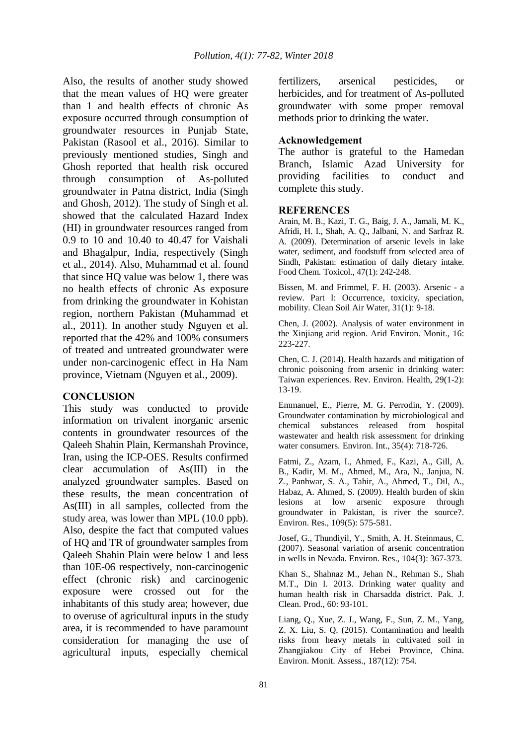Also, the results of another study showed that the mean values of HQ were greater than 1 and health effects of chronic As exposure occurred through consumption of groundwater resources in Punjab State, Pakistan (Rasool et al., 2016). Similar to previously mentioned studies, Singh and Ghosh reported that health risk occured through consumption of As-polluted groundwater in Patna district, India (Singh and Ghosh, 2012). The study of Singh et al. showed that the calculated Hazard Index (HI) in groundwater resources ranged from 0.9 to 10 and 10.40 to 40.47 for Vaishali and Bhagalpur, India, respectively (Singh et al., 2014). Also, Muhammad et al. found that since HQ value was below 1, there was no health effects of chronic As exposure from drinking the groundwater in Kohistan region, northern Pakistan (Muhammad et al., 2011). In another study Nguyen et al. reported that the 42% and 100% consumers of treated and untreated groundwater were under non-carcinogenic effect in Ha Nam province, Vietnam (Nguyen et al., 2009).

### **CONCLUSION**

This study was conducted to provide information on trivalent inorganic arsenic contents in groundwater resources of the Qaleeh Shahin Plain, Kermanshah Province, Iran, using the ICP-OES. Results confirmed clear accumulation of As(III) in the analyzed groundwater samples. Based on these results, the mean concentration of As(III) in all samples, collected from the study area, was lower than MPL (10.0 ppb). Also, despite the fact that computed values of HQ and TR of groundwater samples from Qaleeh Shahin Plain were below 1 and less than 10E-06 respectively, non-carcinogenic effect (chronic risk) and carcinogenic exposure were crossed out for the inhabitants of this study area; however, due to overuse of agricultural inputs in the study area, it is recommended to have paramount consideration for managing the use of agricultural inputs, especially chemical

fertilizers, arsenical pesticides, or herbicides, and for treatment of As-polluted groundwater with some proper removal methods prior to drinking the water.

## **Acknowledgement**

The author is grateful to the Hamedan Branch, Islamic Azad University for providing facilities to conduct and complete this study.

### **REFERENCES**

Arain, M. B., Kazi, T. G., Baig, J. A., Jamali, M. K., Afridi, H. I., Shah, A. Q., Jalbani, N. and Sarfraz R. A. (2009). Determination of arsenic levels in lake water, sediment, and foodstuff from selected area of Sindh, Pakistan: estimation of daily dietary intake. Food Chem. Toxicol., 47(1): 242-248.

Bissen, M. and Frimmel, F. H. (2003). Arsenic - a review. Part I: Occurrence, toxicity, speciation, mobility. Clean Soil Air Water, 31(1): 9-18.

Chen, J. (2002). Analysis of water environment in the Xinjiang arid region. Arid Environ. Monit., 16: 223-227.

Chen, C. J. (2014). Health hazards and mitigation of chronic poisoning from arsenic in drinking water: Taiwan experiences. Rev. Environ. Health, 29(1-2): 13-19.

Emmanuel, E., Pierre, M. G. Perrodin, Y. (2009). Groundwater contamination by microbiological and chemical substances released from hospital wastewater and health risk assessment for drinking water consumers. Environ. Int., 35(4): 718-726.

Fatmi, Z., Azam, I., Ahmed, F., Kazi, A., Gill, A. B., Kadir, M. M., Ahmed, M., Ara, N., Janjua, N. Z., Panhwar, S. A., Tahir, A., Ahmed, T., Dil, A., Habaz, A. Ahmed, S. (2009). Health burden of skin lesions at low arsenic exposure through groundwater in Pakistan, is river the source?. Environ. Res., 109(5): 575-581.

Josef, G., Thundiyil, Y., Smith, A. H. Steinmaus, C. (2007). Seasonal variation of arsenic concentration in wells in Nevada. Environ. Res., 104(3): 367-373.

Khan S., Shahnaz M., Jehan N., Rehman S., Shah M.T., Din I. 2013. Drinking water quality and human health risk in Charsadda district. Pak. J. Clean. Prod., 60: 93-101.

Liang, Q., Xue, Z. J., Wang, F., Sun, Z. M., Yang, Z. X. Liu, S. Q. (2015). Contamination and health risks from heavy metals in cultivated soil in Zhangjiakou City of Hebei Province, China. Environ. Monit. Assess., 187(12): 754.